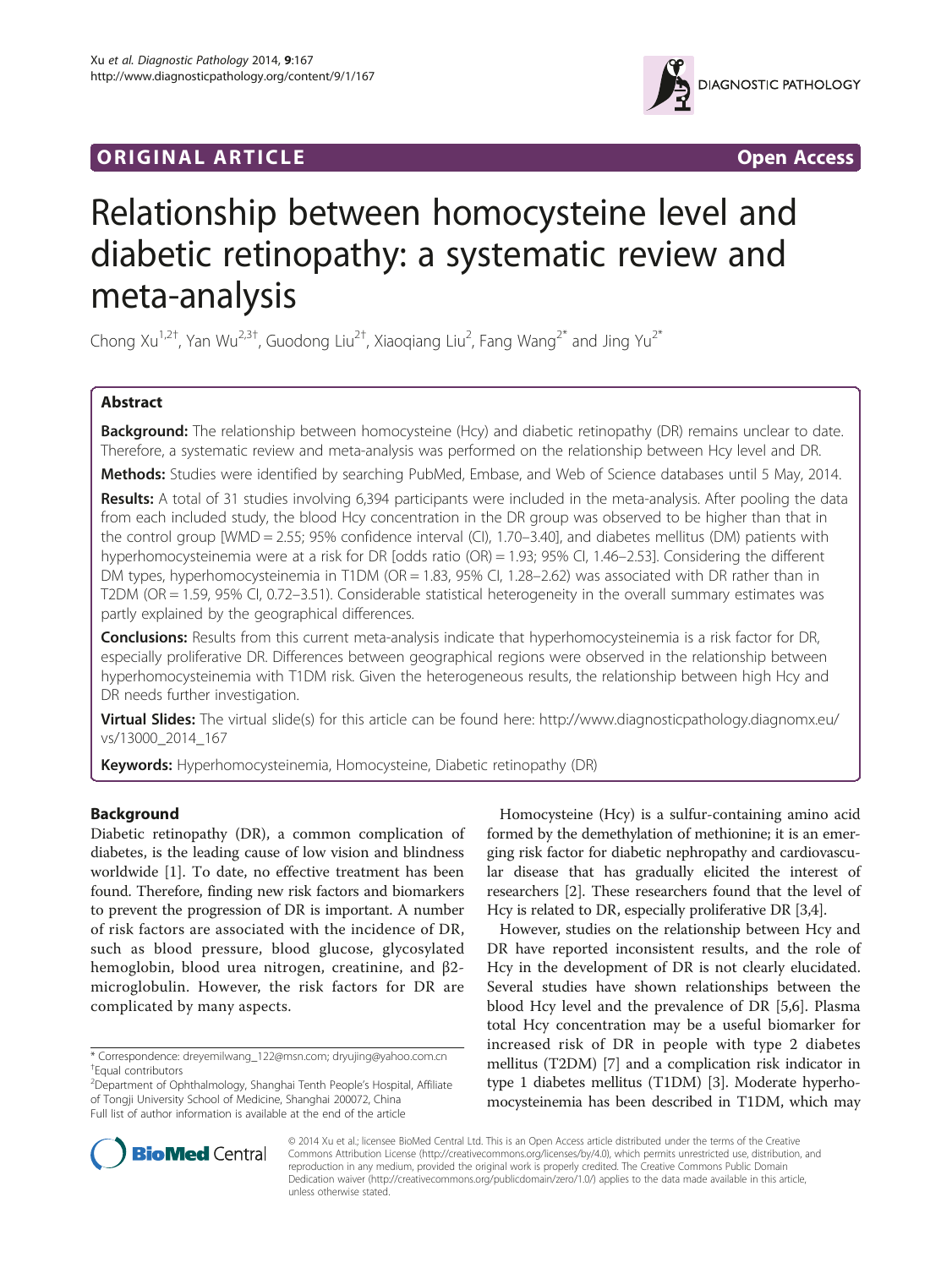# **ORIGINAL ARTICLE CONSERVANCE IN A LOCAL CONSERVANCE IN A LOCAL CONSERVANCE IN A LOCAL CONSERVANCE IN A LOCAL CONSERVANCE IN A LOCAL CONSERVANCE IN A LOCAL CONSERVANCE IN A LOCAL CONSERVANCE IN A LOCAL CONSERVANCE IN A L**



# Relationship between homocysteine level and diabetic retinopathy: a systematic review and meta-analysis

Chong Xu<sup>1,2†</sup>, Yan Wu<sup>2,3†</sup>, Guodong Liu<sup>2†</sup>, Xiaoqiang Liu<sup>2</sup>, Fang Wang<sup>2\*</sup> and Jing Yu<sup>2\*</sup>

# Abstract

Background: The relationship between homocysteine (Hcy) and diabetic retinopathy (DR) remains unclear to date. Therefore, a systematic review and meta-analysis was performed on the relationship between Hcy level and DR.

Methods: Studies were identified by searching PubMed, Embase, and Web of Science databases until 5 May, 2014.

Results: A total of 31 studies involving 6,394 participants were included in the meta-analysis. After pooling the data from each included study, the blood Hcy concentration in the DR group was observed to be higher than that in the control group [WMD = 2.55; 95% confidence interval (CI), 1.70–3.40], and diabetes mellitus (DM) patients with hyperhomocysteinemia were at a risk for DR [odds ratio (OR) = 1.93; 95% CI, 1.46–2.53]. Considering the different DM types, hyperhomocysteinemia in T1DM (OR = 1.83, 95% CI, 1.28–2.62) was associated with DR rather than in T2DM (OR = 1.59, 95% CI, 0.72–3.51). Considerable statistical heterogeneity in the overall summary estimates was partly explained by the geographical differences.

Conclusions: Results from this current meta-analysis indicate that hyperhomocysteinemia is a risk factor for DR, especially proliferative DR. Differences between geographical regions were observed in the relationship between hyperhomocysteinemia with T1DM risk. Given the heterogeneous results, the relationship between high Hcy and DR needs further investigation.

Virtual Slides: The virtual slide(s) for this article can be found here: [http://www.diagnosticpathology.diagnomx.eu/](http://www.diagnosticpathology.diagnomx.eu/vs/13000_2014_167) [vs/13000\\_2014\\_167](http://www.diagnosticpathology.diagnomx.eu/vs/13000_2014_167)

Keywords: Hyperhomocysteinemia, Homocysteine, Diabetic retinopathy (DR)

# Background

Diabetic retinopathy (DR), a common complication of diabetes, is the leading cause of low vision and blindness worldwide [\[1\]](#page-7-0). To date, no effective treatment has been found. Therefore, finding new risk factors and biomarkers to prevent the progression of DR is important. A number of risk factors are associated with the incidence of DR, such as blood pressure, blood glucose, glycosylated hemoglobin, blood urea nitrogen, creatinine, and β2 microglobulin. However, the risk factors for DR are complicated by many aspects.

Homocysteine (Hcy) is a sulfur-containing amino acid formed by the demethylation of methionine; it is an emerging risk factor for diabetic nephropathy and cardiovascular disease that has gradually elicited the interest of researchers [\[2](#page-7-0)]. These researchers found that the level of Hcy is related to DR, especially proliferative DR [[3](#page-7-0),[4](#page-7-0)].

However, studies on the relationship between Hcy and DR have reported inconsistent results, and the role of Hcy in the development of DR is not clearly elucidated. Several studies have shown relationships between the blood Hcy level and the prevalence of DR [[5,6\]](#page-7-0). Plasma total Hcy concentration may be a useful biomarker for increased risk of DR in people with type 2 diabetes mellitus (T2DM) [\[7](#page-7-0)] and a complication risk indicator in type 1 diabetes mellitus (T1DM) [\[3\]](#page-7-0). Moderate hyperhomocysteinemia has been described in T1DM, which may



© 2014 Xu et al.; licensee BioMed Central Ltd. This is an Open Access article distributed under the terms of the Creative Commons Attribution License [\(http://creativecommons.org/licenses/by/4.0\)](http://creativecommons.org/licenses/by/4.0), which permits unrestricted use, distribution, and reproduction in any medium, provided the original work is properly credited. The Creative Commons Public Domain Dedication waiver [\(http://creativecommons.org/publicdomain/zero/1.0/](http://creativecommons.org/publicdomain/zero/1.0/)) applies to the data made available in this article, unless otherwise stated.

<sup>\*</sup> Correspondence: [dreyemilwang\\_122@msn.com;](mailto:dreyemilwang_122@msn.com) [dryujing@yahoo.com.cn](mailto:dryujing@yahoo.com.cn) † Equal contributors

<sup>2</sup> Department of Ophthalmology, Shanghai Tenth People's Hospital, Affiliate of Tongji University School of Medicine, Shanghai 200072, China Full list of author information is available at the end of the article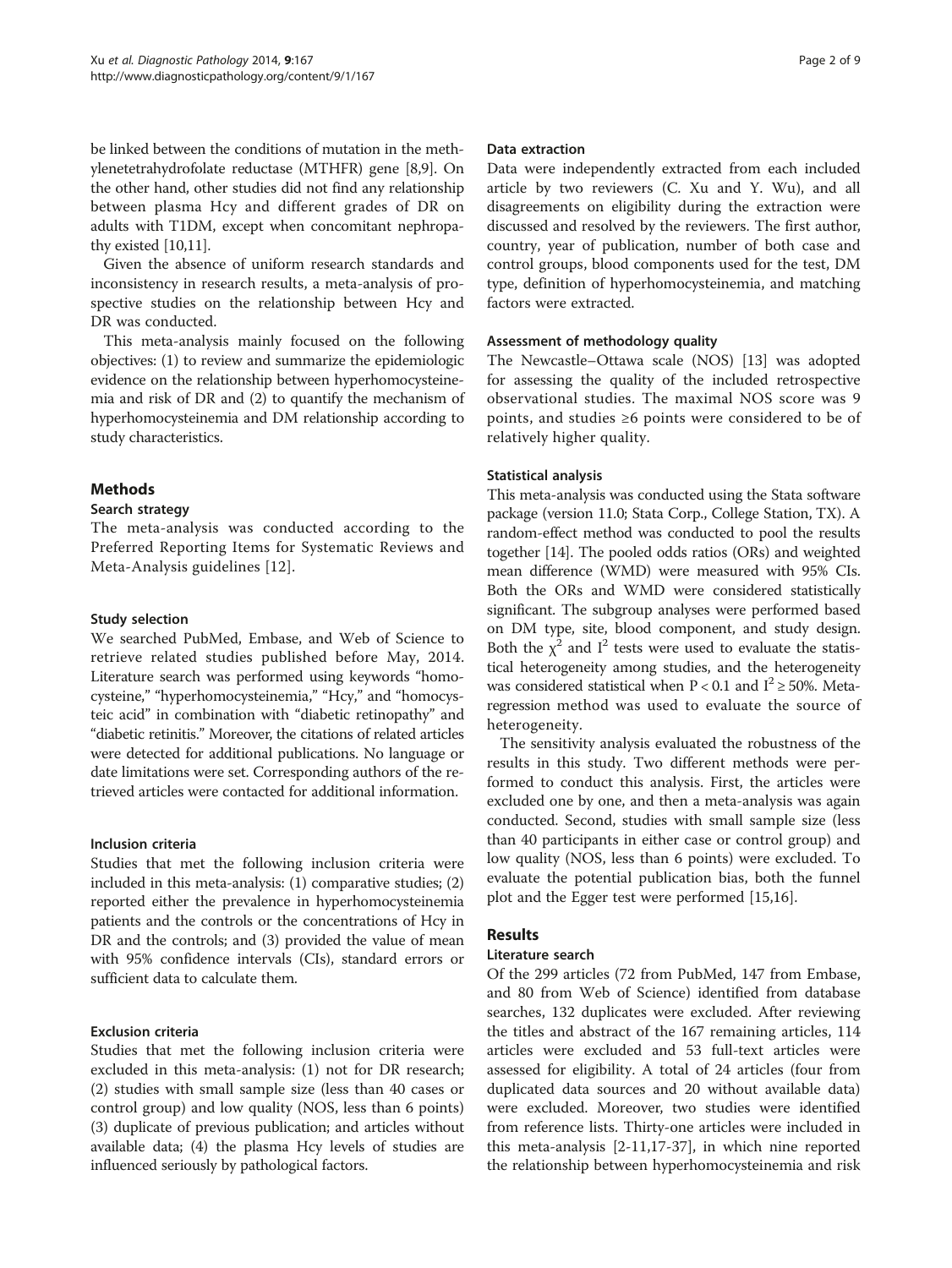be linked between the conditions of mutation in the methylenetetrahydrofolate reductase (MTHFR) gene [[8,9](#page-7-0)]. On the other hand, other studies did not find any relationship between plasma Hcy and different grades of DR on adults with T1DM, except when concomitant nephropathy existed [\[10,11\]](#page-7-0).

Given the absence of uniform research standards and inconsistency in research results, a meta-analysis of prospective studies on the relationship between Hcy and DR was conducted.

This meta-analysis mainly focused on the following objectives: (1) to review and summarize the epidemiologic evidence on the relationship between hyperhomocysteinemia and risk of DR and (2) to quantify the mechanism of hyperhomocysteinemia and DM relationship according to study characteristics.

# Methods

# Search strategy

The meta-analysis was conducted according to the Preferred Reporting Items for Systematic Reviews and Meta-Analysis guidelines [[12](#page-7-0)].

# Study selection

We searched PubMed, Embase, and Web of Science to retrieve related studies published before May, 2014. Literature search was performed using keywords "homocysteine," "hyperhomocysteinemia," "Hcy," and "homocysteic acid" in combination with "diabetic retinopathy" and "diabetic retinitis." Moreover, the citations of related articles were detected for additional publications. No language or date limitations were set. Corresponding authors of the retrieved articles were contacted for additional information.

#### Inclusion criteria

Studies that met the following inclusion criteria were included in this meta-analysis: (1) comparative studies; (2) reported either the prevalence in hyperhomocysteinemia patients and the controls or the concentrations of Hcy in DR and the controls; and (3) provided the value of mean with 95% confidence intervals (CIs), standard errors or sufficient data to calculate them.

# Exclusion criteria

Studies that met the following inclusion criteria were excluded in this meta-analysis: (1) not for DR research; (2) studies with small sample size (less than 40 cases or control group) and low quality (NOS, less than 6 points) (3) duplicate of previous publication; and articles without available data; (4) the plasma Hcy levels of studies are influenced seriously by pathological factors.

#### Data extraction

Data were independently extracted from each included article by two reviewers (C. Xu and Y. Wu), and all disagreements on eligibility during the extraction were discussed and resolved by the reviewers. The first author, country, year of publication, number of both case and control groups, blood components used for the test, DM type, definition of hyperhomocysteinemia, and matching factors were extracted.

#### Assessment of methodology quality

The Newcastle–Ottawa scale (NOS) [[13](#page-7-0)] was adopted for assessing the quality of the included retrospective observational studies. The maximal NOS score was 9 points, and studies ≥6 points were considered to be of relatively higher quality.

# Statistical analysis

This meta-analysis was conducted using the Stata software package (version 11.0; Stata Corp., College Station, TX). A random-effect method was conducted to pool the results together [\[14\]](#page-7-0). The pooled odds ratios (ORs) and weighted mean difference (WMD) were measured with 95% CIs. Both the ORs and WMD were considered statistically significant. The subgroup analyses were performed based on DM type, site, blood component, and study design. Both the  $\chi^2$  and I<sup>2</sup> tests were used to evaluate the statistical heterogeneity among studies, and the heterogeneity was considered statistical when  $P < 0.1$  and  $I^2 \ge 50\%$ . Metaregression method was used to evaluate the source of heterogeneity.

The sensitivity analysis evaluated the robustness of the results in this study. Two different methods were performed to conduct this analysis. First, the articles were excluded one by one, and then a meta-analysis was again conducted. Second, studies with small sample size (less than 40 participants in either case or control group) and low quality (NOS, less than 6 points) were excluded. To evaluate the potential publication bias, both the funnel plot and the Egger test were performed [[15,16\]](#page-7-0).

# Results

# Literature search

Of the 299 articles (72 from PubMed, 147 from Embase, and 80 from Web of Science) identified from database searches, 132 duplicates were excluded. After reviewing the titles and abstract of the 167 remaining articles, 114 articles were excluded and 53 full-text articles were assessed for eligibility. A total of 24 articles (four from duplicated data sources and 20 without available data) were excluded. Moreover, two studies were identified from reference lists. Thirty-one articles were included in this meta-analysis [[2-11,](#page-7-0)[17-37](#page-8-0)], in which nine reported the relationship between hyperhomocysteinemia and risk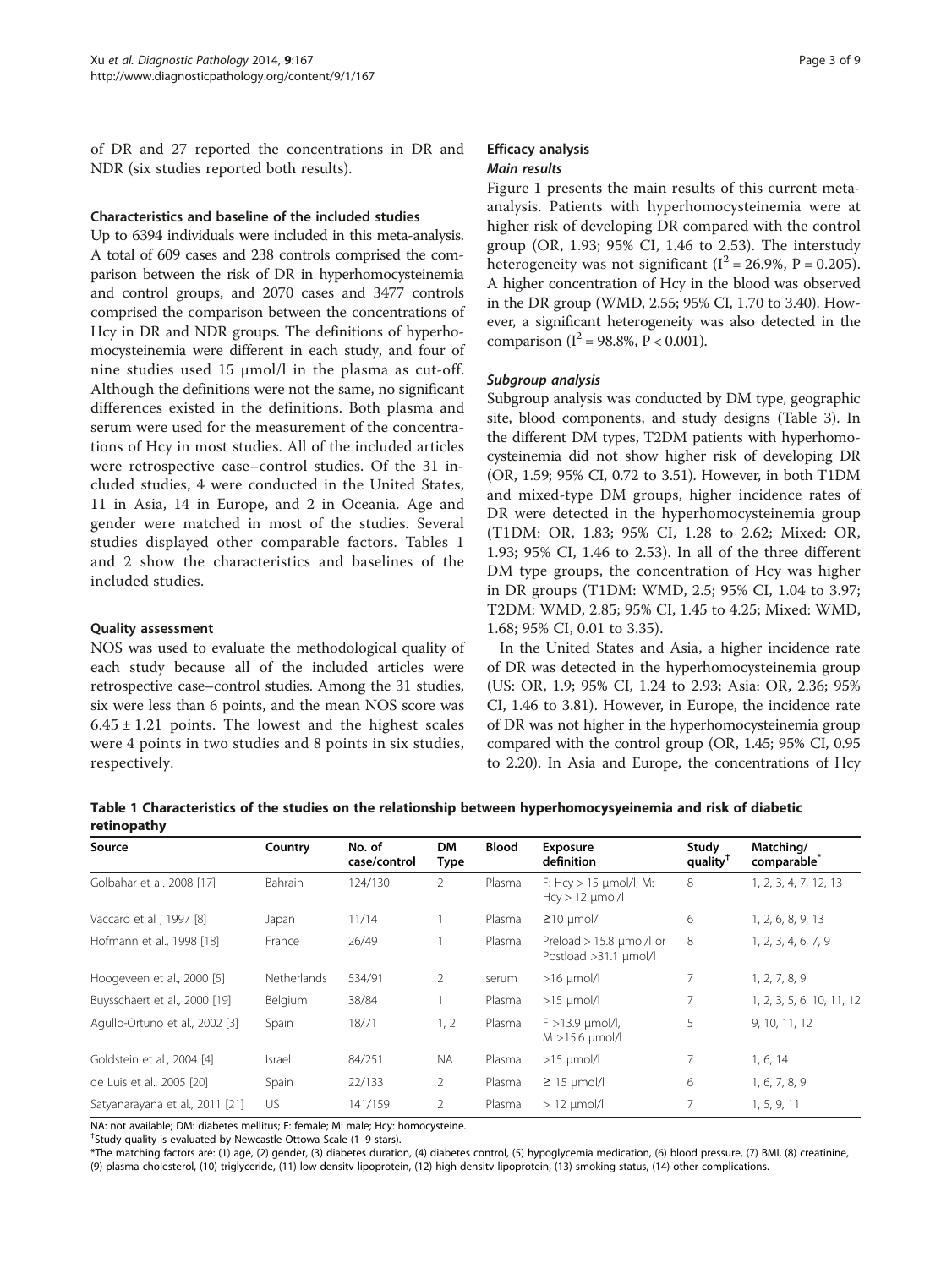of DR and 27 reported the concentrations in DR and NDR (six studies reported both results).

#### Characteristics and baseline of the included studies

Up to 6394 individuals were included in this meta-analysis. A total of 609 cases and 238 controls comprised the comparison between the risk of DR in hyperhomocysteinemia and control groups, and 2070 cases and 3477 controls comprised the comparison between the concentrations of Hcy in DR and NDR groups. The definitions of hyperhomocysteinemia were different in each study, and four of nine studies used 15 μmol/l in the plasma as cut-off. Although the definitions were not the same, no significant differences existed in the definitions. Both plasma and serum were used for the measurement of the concentrations of Hcy in most studies. All of the included articles were retrospective case–control studies. Of the 31 included studies, 4 were conducted in the United States, 11 in Asia, 14 in Europe, and 2 in Oceania. Age and gender were matched in most of the studies. Several studies displayed other comparable factors. Tables 1 and [2](#page-3-0) show the characteristics and baselines of the included studies.

#### Quality assessment

NOS was used to evaluate the methodological quality of each study because all of the included articles were retrospective case–control studies. Among the 31 studies, six were less than 6 points, and the mean NOS score was  $6.45 \pm 1.21$  points. The lowest and the highest scales were 4 points in two studies and 8 points in six studies, respectively.

## Efficacy analysis Main results

Figure [1](#page-4-0) presents the main results of this current metaanalysis. Patients with hyperhomocysteinemia were at higher risk of developing DR compared with the control group (OR, 1.93; 95% CI, 1.46 to 2.53). The interstudy heterogeneity was not significant ( $I^2 = 26.9\%$ ,  $P = 0.205$ ). A higher concentration of Hcy in the blood was observed in the DR group (WMD, 2.55; 95% CI, 1.70 to 3.40). However, a significant heterogeneity was also detected in the comparison ( $I^2 = 98.8\%$ ,  $P < 0.001$ ).

#### Subgroup analysis

Subgroup analysis was conducted by DM type, geographic site, blood components, and study designs (Table [3](#page-5-0)). In the different DM types, T2DM patients with hyperhomocysteinemia did not show higher risk of developing DR (OR, 1.59; 95% CI, 0.72 to 3.51). However, in both T1DM and mixed-type DM groups, higher incidence rates of DR were detected in the hyperhomocysteinemia group (T1DM: OR, 1.83; 95% CI, 1.28 to 2.62; Mixed: OR, 1.93; 95% CI, 1.46 to 2.53). In all of the three different DM type groups, the concentration of Hcy was higher in DR groups (T1DM: WMD, 2.5; 95% CI, 1.04 to 3.97; T2DM: WMD, 2.85; 95% CI, 1.45 to 4.25; Mixed: WMD, 1.68; 95% CI, 0.01 to 3.35).

In the United States and Asia, a higher incidence rate of DR was detected in the hyperhomocysteinemia group (US: OR, 1.9; 95% CI, 1.24 to 2.93; Asia: OR, 2.36; 95% CI, 1.46 to 3.81). However, in Europe, the incidence rate of DR was not higher in the hyperhomocysteinemia group compared with the control group (OR, 1.45; 95% CI, 0.95 to 2.20). In Asia and Europe, the concentrations of Hcy

Table 1 Characteristics of the studies on the relationship between hyperhomocysyeinemia and risk of diabetic retinopathy

| Source                          | Country            | No. of<br>case/control | <b>DM</b><br>Type | <b>Blood</b> | <b>Exposure</b><br>definition                     | Study<br>quality <sup>†</sup> | Matching/<br>comparable <sup>®</sup> |  |
|---------------------------------|--------------------|------------------------|-------------------|--------------|---------------------------------------------------|-------------------------------|--------------------------------------|--|
| Golbahar et al. 2008 [17]       | <b>Bahrain</b>     | 124/130                | $\overline{2}$    | Plasma       | F: $Hcy > 15$ µmol/l; M:<br>$Hcy > 12$ µmol/l     | 8                             | 1, 2, 3, 4, 7, 12, 13                |  |
| Vaccaro et al, 1997 [8]         | Japan              | 11/14                  |                   | Plasma       | $\geq$ 10 µmol/                                   | 6                             | 1, 2, 6, 8, 9, 13                    |  |
| Hofmann et al., 1998 [18]       | France             | 26/49                  |                   | Plasma       | Preload > 15.8 µmol/l or<br>Postload >31.1 µmol/l | 8                             | 1, 2, 3, 4, 6, 7, 9                  |  |
| Hoogeveen et al., 2000 [5]      | <b>Netherlands</b> | 534/91                 | $\overline{2}$    | serum        | $>16$ µmol/l                                      | $\overline{7}$                | 1, 2, 7, 8, 9                        |  |
| Buysschaert et al., 2000 [19]   | Belgium            | 38/84                  |                   | Plasma       | $>15$ µmol/l                                      | $\overline{7}$                | 1, 2, 3, 5, 6, 10, 11, 12            |  |
| Agullo-Ortuno et al., 2002 [3]  | Spain              | 18/71                  | 1, 2              | Plasma       | $F > 13.9$ $\mu$ mol/l,<br>$M > 15.6$ µmol/l      | 5                             | 9, 10, 11, 12                        |  |
| Goldstein et al., 2004 [4]      | Israel             | 84/251                 | <b>NA</b>         | Plasma       | $>15$ µmol/l                                      | 7                             | 1, 6, 14                             |  |
| de Luis et al., 2005 [20]       | Spain              | 22/133                 | 2                 | Plasma       | $\geq$ 15 µmol/l                                  | 6                             | 1, 6, 7, 8, 9                        |  |
| Satyanarayana et al., 2011 [21] | US                 | 141/159                | $\overline{2}$    | Plasma       | $> 12$ µmol/l                                     | $\overline{7}$                | 1, 5, 9, 11                          |  |

NA: not available; DM: diabetes mellitus; F: female; M: male; Hcy: homocysteine.

† Study quality is evaluated by Newcastle-Ottowa Scale (1–9 stars).

\*The matching factors are: (1) age, (2) gender, (3) diabetes duration, (4) diabetes control, (5) hypoglycemia medication, (6) blood pressure, (7) BMI, (8) creatinine, (9) plasma cholesterol, (10) triglyceride, (11) low densitv lipoprotein, (12) high densitv lipoprotein, (13) smoking status, (14) other complications.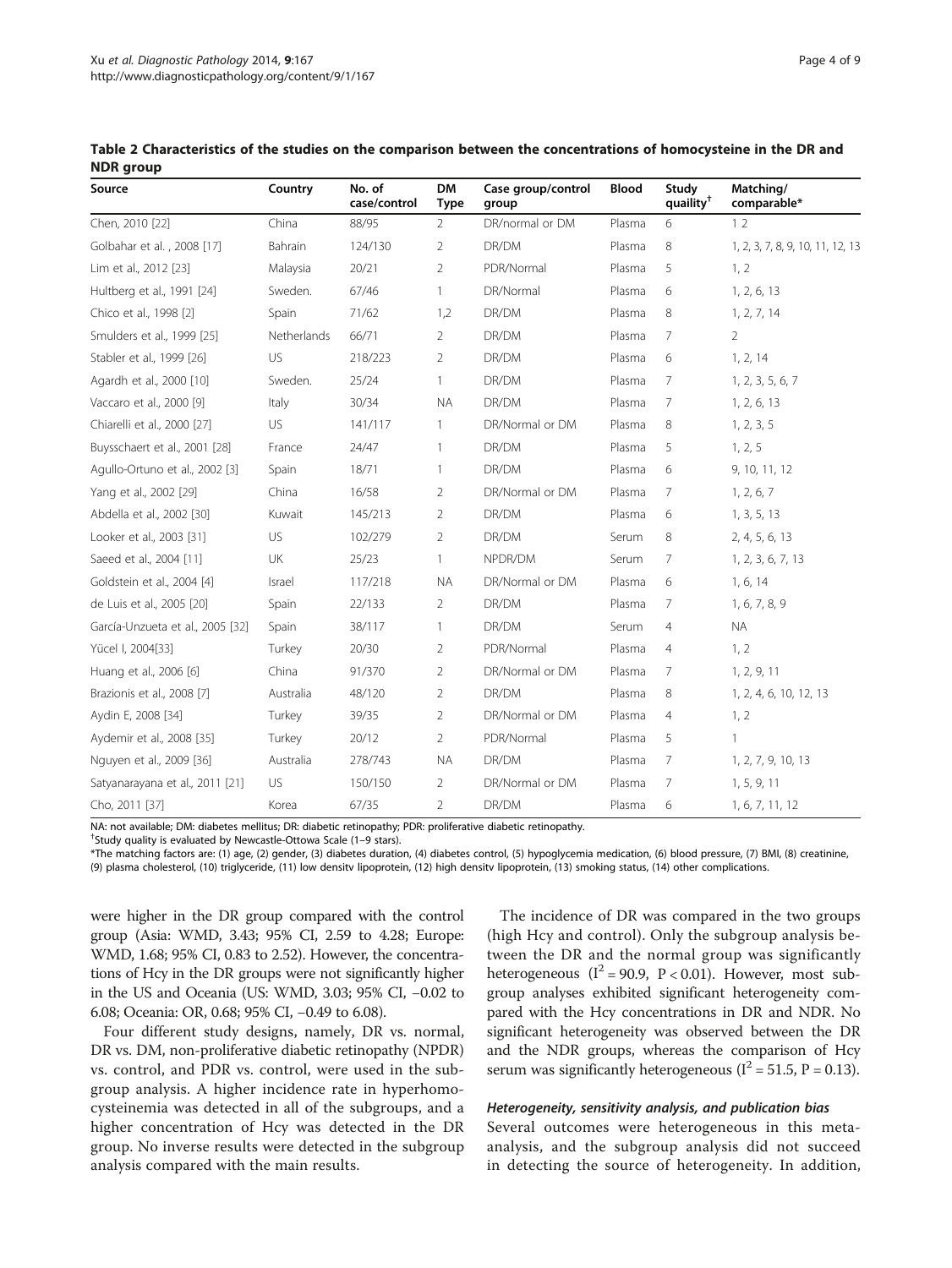| Source                           | Country     | No. of<br>case/control | <b>DM</b><br><b>Type</b> | Case group/control<br>group                 | <b>Blood</b> | Study<br>quaility <sup>†</sup>   | Matching/<br>comparable*         |  |
|----------------------------------|-------------|------------------------|--------------------------|---------------------------------------------|--------------|----------------------------------|----------------------------------|--|
| Chen, 2010 [22]                  | China       | 88/95                  | $\overline{2}$           | DR/normal or DM                             | Plasma       | 6                                | 12                               |  |
| Golbahar et al., 2008 [17]       | Bahrain     | 124/130                | 2                        | DR/DM                                       | Plasma       | 8                                | 1, 2, 3, 7, 8, 9, 10, 11, 12, 13 |  |
| Lim et al., 2012 [23]            | Malaysia    | 20/21                  | $\overline{2}$           | PDR/Normal                                  | Plasma       | 5                                | 1, 2                             |  |
| Hultberg et al., 1991 [24]       | Sweden.     | 67/46                  | $\mathbf{1}$             | DR/Normal                                   | Plasma       | 6<br>1, 2, 6, 13                 |                                  |  |
| Chico et al., 1998 [2]           | Spain       | 71/62                  | 1,2                      | DR/DM                                       | Plasma       | 8                                | 1, 2, 7, 14                      |  |
| Smulders et al., 1999 [25]       | Netherlands | 66/71                  | $\overline{2}$           | DR/DM                                       | Plasma       | $\overline{2}$<br>$\overline{7}$ |                                  |  |
| Stabler et al., 1999 [26]        | <b>US</b>   | 218/223                | $\overline{2}$           | DR/DM                                       | Plasma       | 6                                | 1, 2, 14                         |  |
| Agardh et al., 2000 [10]         | Sweden.     | 25/24                  | $\mathbf{1}$             | DR/DM                                       | Plasma       | 7                                | 1, 2, 3, 5, 6, 7                 |  |
| Vaccaro et al., 2000 [9]         | Italy       | 30/34                  | <b>NA</b>                | DR/DM                                       | Plasma       | 7                                | 1, 2, 6, 13                      |  |
| Chiarelli et al., 2000 [27]      | US          | 141/117                | 1                        | DR/Normal or DM                             | Plasma       | 8                                | 1, 2, 3, 5                       |  |
| Buysschaert et al., 2001 [28]    | France      | 24/47                  | 1                        | DR/DM                                       | Plasma       | 5                                | 1, 2, 5                          |  |
| Agullo-Ortuno et al., 2002 [3]   | Spain       | 18/71                  | 1                        | DR/DM                                       | Plasma       | 6                                | 9, 10, 11, 12                    |  |
| Yang et al., 2002 [29]           | China       | 16/58                  | 2                        | DR/Normal or DM<br>Plasma                   |              | $\overline{7}$                   | 1, 2, 6, 7                       |  |
| Abdella et al., 2002 [30]        | Kuwait      | 145/213                | 2                        | DR/DM                                       | Plasma       | 6                                | 1, 3, 5, 13                      |  |
| Looker et al., 2003 [31]         | <b>US</b>   | 102/279                | 2                        | DR/DM                                       | Serum        | 8                                | 2, 4, 5, 6, 13                   |  |
| Saeed et al., 2004 [11]          | UK          | 25/23                  | 1                        | NPDR/DM                                     | Serum        | 7                                | 1, 2, 3, 6, 7, 13                |  |
| Goldstein et al., 2004 [4]       | Israel      | 117/218                | <b>NA</b>                | DR/Normal or DM                             | Plasma       | 6                                | 1, 6, 14                         |  |
| de Luis et al., 2005 [20]        | Spain       | 22/133                 | $\overline{2}$           | DR/DM                                       | Plasma       | $\overline{7}$                   | 1, 6, 7, 8, 9                    |  |
| García-Unzueta et al., 2005 [32] | Spain       | 38/117                 | 1                        | DR/DM                                       | Serum        | 4                                | <b>NA</b>                        |  |
| Yücel I, 2004[33]                | Turkey      | 20/30                  | $\overline{2}$           | PDR/Normal                                  | Plasma       | 4                                | 1, 2                             |  |
| Huang et al., 2006 [6]           | China       | 91/370                 | 2                        | DR/Normal or DM                             | Plasma       | 7                                | 1, 2, 9, 11                      |  |
| Brazionis et al., 2008 [7]       | Australia   | 48/120                 | $\overline{2}$           | DR/DM                                       | Plasma       | 8                                | 1, 2, 4, 6, 10, 12, 13           |  |
| Aydin E, 2008 [34]               | Turkey      | 39/35                  | $\overline{2}$           | DR/Normal or DM<br>Plasma<br>$\overline{4}$ |              |                                  | 1, 2                             |  |
| Aydemir et al., 2008 [35]        | Turkey      | 20/12                  | 2                        | PDR/Normal<br>5<br>Plasma                   |              | $\mathbf{1}$                     |                                  |  |
| Nguyen et al., 2009 [36]         | Australia   | 278/743                | <b>NA</b>                | DR/DM<br>7<br>Plasma                        |              | 1, 2, 7, 9, 10, 13               |                                  |  |
| Satyanarayana et al., 2011 [21]  | US          | 150/150                | 2                        | DR/Normal or DM<br>Plasma<br>7              |              | 1, 5, 9, 11                      |                                  |  |
| Cho, 2011 [37]                   | Korea       | 67/35                  | $\overline{2}$           | DR/DM                                       | Plasma       | 6                                | 1, 6, 7, 11, 12                  |  |

<span id="page-3-0"></span>Table 2 Characteristics of the studies on the comparison between the concentrations of homocysteine in the DR and **NDR** group

NA: not available; DM: diabetes mellitus; DR: diabetic retinopathy; PDR: proliferative diabetic retinopathy.

† Study quality is evaluated by Newcastle-Ottowa Scale (1–9 stars).

\*The matching factors are: (1) age, (2) gender, (3) diabetes duration, (4) diabetes control, (5) hypoglycemia medication, (6) blood pressure, (7) BMI, (8) creatinine, (9) plasma cholesterol, (10) triglyceride, (11) low densitv lipoprotein, (12) high densitv lipoprotein, (13) smoking status, (14) other complications.

were higher in the DR group compared with the control group (Asia: WMD, 3.43; 95% CI, 2.59 to 4.28; Europe: WMD, 1.68; 95% CI, 0.83 to 2.52). However, the concentrations of Hcy in the DR groups were not significantly higher in the US and Oceania (US: WMD, 3.03; 95% CI, −0.02 to 6.08; Oceania: OR, 0.68; 95% CI, −0.49 to 6.08).

Four different study designs, namely, DR vs. normal, DR vs. DM, non-proliferative diabetic retinopathy (NPDR) vs. control, and PDR vs. control, were used in the subgroup analysis. A higher incidence rate in hyperhomocysteinemia was detected in all of the subgroups, and a higher concentration of Hcy was detected in the DR group. No inverse results were detected in the subgroup analysis compared with the main results.

The incidence of DR was compared in the two groups (high Hcy and control). Only the subgroup analysis between the DR and the normal group was significantly heterogeneous ( $I^2 = 90.9$ ,  $P < 0.01$ ). However, most subgroup analyses exhibited significant heterogeneity compared with the Hcy concentrations in DR and NDR. No significant heterogeneity was observed between the DR and the NDR groups, whereas the comparison of Hcy serum was significantly heterogeneous ( $I^2 = 51.5$ , P = 0.13).

#### Heterogeneity, sensitivity analysis, and publication bias

Several outcomes were heterogeneous in this metaanalysis, and the subgroup analysis did not succeed in detecting the source of heterogeneity. In addition,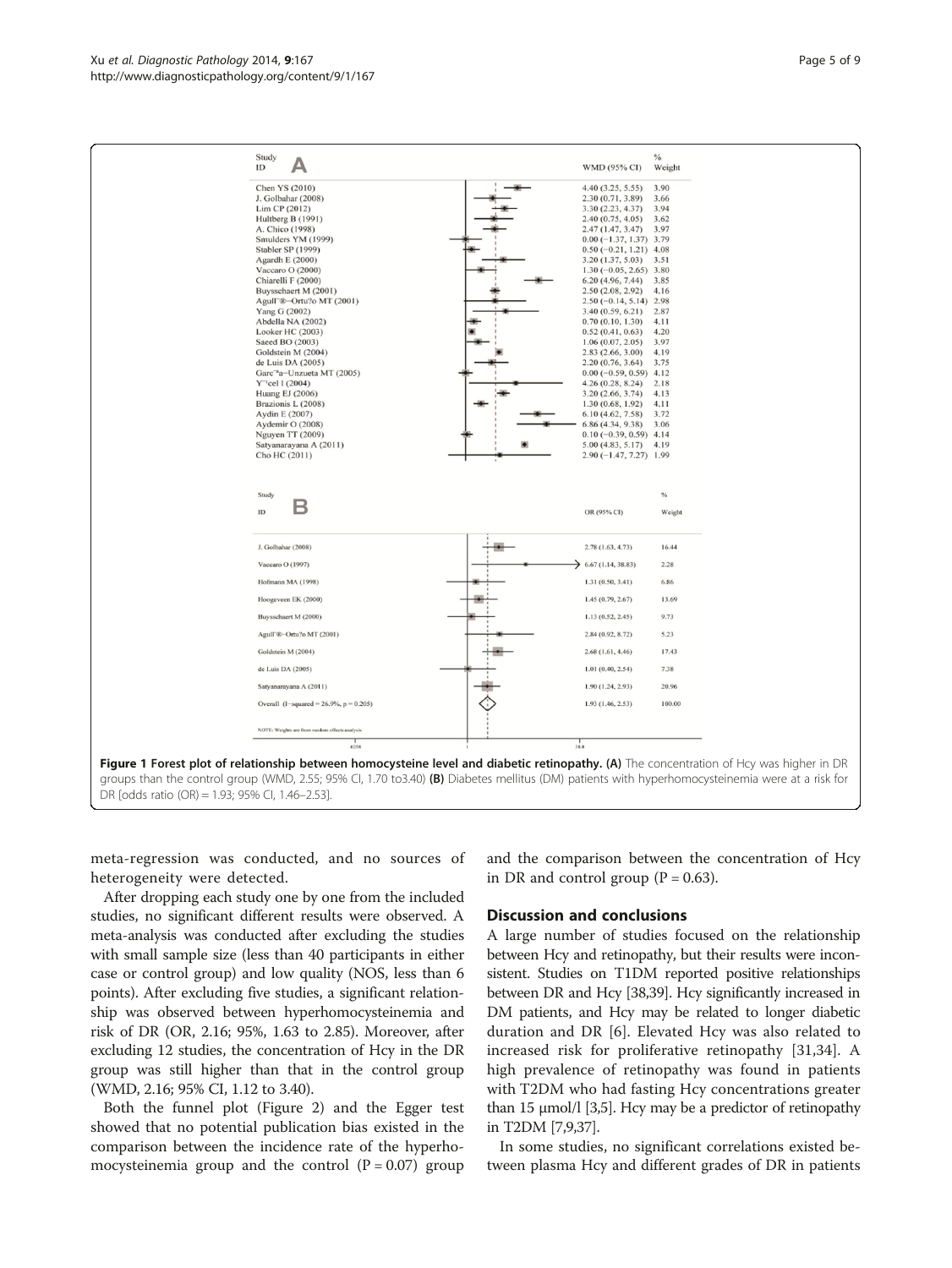<span id="page-4-0"></span>

| Study                                                               |                                                     | $\%$          |  |
|---------------------------------------------------------------------|-----------------------------------------------------|---------------|--|
| ID                                                                  | WMD (95% CI)                                        | Weight        |  |
| Chen YS (2010)                                                      | 4.40(3.25, 5.55)                                    | 3.90          |  |
| J. Golbahar (2008)                                                  | 2.30(0.71, 3.89)                                    | 3.66          |  |
| Lim CP (2012)<br>Hultberg B (1991)                                  | 3.30(2.23, 4.37)<br>2.40(0.75, 4.05)                | 3.94<br>3.62  |  |
| A. Chico (1998)                                                     | 2.47(1.47, 3.47)                                    | 3.97          |  |
| Smulders YM (1999)                                                  | $0.00 (-1.37, 1.37)$ 3.79                           |               |  |
| Stabler SP (1999)                                                   | $0.50$ (-0.21, 1.21) 4.08                           |               |  |
| Agardh E (2000)<br>Vaccaro O (2000)                                 | 3.20(1.37, 5.03)<br>$1.30(-0.05, 2.65)$ 3.80        | 3.51          |  |
| Chiarelli F (2000)                                                  | 6.20(4.96, 7.44)                                    | 3.85          |  |
| Buysschaert M (2001)                                                | 2.50(2.08, 2.92)                                    | 4.16          |  |
| Agull"®-Ortu?o MT (2001)<br>Yang G (2002)                           | $2.50(-0.14, 5.14)$ 2.98<br>3.40(0.59, 6.21)        | 2.87          |  |
| Abdella NA (2002)                                                   | 0.70(0.10, 1.30)                                    | 4.11          |  |
| Looker HC (2003)                                                    | 0.52(0.41, 0.63)                                    | 4.20          |  |
| Saeed BO (2003)                                                     | 1.06(0.07, 2.05)                                    | 3.97          |  |
| Goldstein M (2004)<br>de Luis DA (2005)                             | 2.83(2.66, 3.00)<br>2.20(0.76, 3.64)                | 4.19<br>3.75  |  |
| Garc' <sup>a</sup> a-Unzueta MT (2005)                              | $0.00 (-0.59, 0.59)$ 4.12                           |               |  |
| $Y''$ cel I (2004)                                                  | 4.26(0.28, 8.24)                                    | 2.18          |  |
| Huang EJ (2006)<br>Brazionis L (2008)                               | 3.20(2.66, 3.74)<br>1.30(0.68, 1.92)                | 4.13<br>4.11  |  |
| Aydin E (2007)                                                      | 6.10(4.62, 7.58)                                    | 3.72          |  |
| Aydemir O (2008)                                                    | 6.86 (4.34, 9.38)                                   | 3.06          |  |
|                                                                     | $0.10 (-0.39, 0.59)$ 4.14                           |               |  |
| Nguyen TT (2009)                                                    |                                                     |               |  |
| Satyanarayana A (2011)<br>Cho HC (2011)<br>Study                    | $5.00(4.83, 5.17)$ 4.19<br>$2.90(-1.47, 7.27)$ 1.99 | $\%$          |  |
| B<br>ID                                                             | OR (95% CI)                                         | Weight        |  |
| J. Golbahar (2008)                                                  | 2.78(1.63, 4.73)                                    | 16.44         |  |
| Vaccaro O (1997)                                                    | $\rightarrow$ 6.67 (1.14, 38.83)                    | 2.28          |  |
| Hofmann MA (1998)                                                   | 1.31(0.50, 3.41)                                    | 6.86          |  |
| Hoogeveen EK (2000)                                                 | 1.45 (0.79, 2.67)                                   | 13.69         |  |
| Buysschaert M (2000)                                                | 1.13(0.52, 2.45)                                    | 9.73          |  |
| Agull <sup>-</sup> ®-Ortu?o MT (2001)                               | 2.84 (0.92, 8.72)                                   | 5.23          |  |
| Goldstein M (2004)                                                  | 2.68(1.61, 4.46)                                    | 17.43         |  |
| de Luis DA (2005)                                                   | 1.01(0.40, 2.54)                                    | 7.38<br>20.96 |  |
| Satyanarayana A (2011)<br>Overall $(I-squared = 26.9\%, p = 0.205)$ | 1.90 (1.24, 2.93)<br>1.93(1.46, 2.53)               | 100.00        |  |
|                                                                     |                                                     |               |  |
| NOTE: Weights are from random effects analysis<br>0258              | 38.8                                                |               |  |

meta-regression was conducted, and no sources of heterogeneity were detected.

After dropping each study one by one from the included studies, no significant different results were observed. A meta-analysis was conducted after excluding the studies with small sample size (less than 40 participants in either case or control group) and low quality (NOS, less than 6 points). After excluding five studies, a significant relationship was observed between hyperhomocysteinemia and risk of DR (OR, 2.16; 95%, 1.63 to 2.85). Moreover, after excluding 12 studies, the concentration of Hcy in the DR group was still higher than that in the control group (WMD, 2.16; 95% CI, 1.12 to 3.40).

Both the funnel plot (Figure [2](#page-5-0)) and the Egger test showed that no potential publication bias existed in the comparison between the incidence rate of the hyperhomocysteinemia group and the control  $(P = 0.07)$  group and the comparison between the concentration of Hcy in DR and control group ( $P = 0.63$ ).

#### Discussion and conclusions

A large number of studies focused on the relationship between Hcy and retinopathy, but their results were inconsistent. Studies on T1DM reported positive relationships between DR and Hcy [[38,39\]](#page-8-0). Hcy significantly increased in DM patients, and Hcy may be related to longer diabetic duration and DR [\[6](#page-7-0)]. Elevated Hcy was also related to increased risk for proliferative retinopathy [[31,34\]](#page-8-0). A high prevalence of retinopathy was found in patients with T2DM who had fasting Hcy concentrations greater than 15 μmol/l [\[3,5\]](#page-7-0). Hcy may be a predictor of retinopathy in T2DM [[7,9](#page-7-0)[,37](#page-8-0)].

In some studies, no significant correlations existed between plasma Hcy and different grades of DR in patients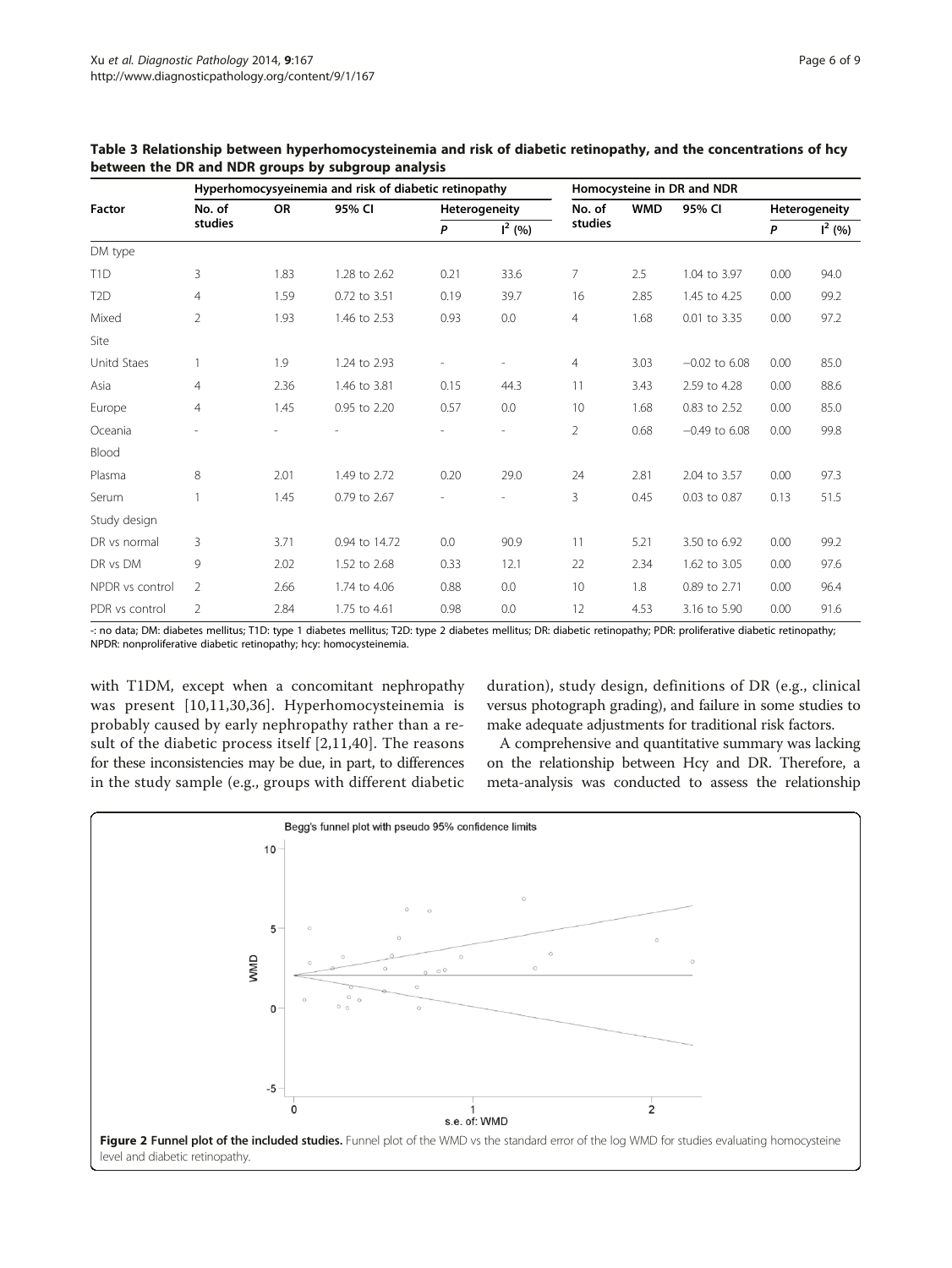|                  |                   | Hyperhomocysyeinemia and risk of diabetic retinopathy | Homocysteine in DR and NDR |                          |                |                |            |                 |               |          |
|------------------|-------------------|-------------------------------------------------------|----------------------------|--------------------------|----------------|----------------|------------|-----------------|---------------|----------|
| <b>Factor</b>    | No. of<br>studies | <b>OR</b>                                             | 95% CI                     | Heterogeneity            |                | No. of         | <b>WMD</b> | 95% CI          | Heterogeneity |          |
|                  |                   |                                                       |                            | P                        | $I^2(% )$      | studies        |            |                 | P             | $I^2(%)$ |
| DM type          |                   |                                                       |                            |                          |                |                |            |                 |               |          |
| T <sub>1</sub> D | 3                 | 1.83                                                  | 1.28 to 2.62               | 0.21                     | 33.6           | 7              | 2.5        | 1.04 to 3.97    | 0.00          | 94.0     |
| T <sub>2</sub> D | 4                 | 1.59                                                  | 0.72 to 3.51               | 0.19                     | 39.7           | 16             | 2.85       | 1.45 to 4.25    | 0.00          | 99.2     |
| Mixed            | $\overline{2}$    | 1.93                                                  | 1.46 to 2.53               | 0.93                     | 0.0            | $\overline{4}$ | 1.68       | 0.01 to 3.35    | 0.00          | 97.2     |
| Site             |                   |                                                       |                            |                          |                |                |            |                 |               |          |
| Unitd Staes      |                   | 1.9                                                   | 1.24 to 2.93               | $\overline{\phantom{a}}$ |                | 4              | 3.03       | $-0.02$ to 6.08 | 0.00          | 85.0     |
| Asia             | $\overline{4}$    | 2.36                                                  | 1.46 to 3.81               | 0.15                     | 44.3           | 11             | 3.43       | 2.59 to 4.28    | 0.00          | 88.6     |
| Europe           | $\overline{4}$    | 1.45                                                  | 0.95 to 2.20               | 0.57                     | 0.0            | 10             | 1.68       | 0.83 to 2.52    | 0.00          | 85.0     |
| Oceania          |                   |                                                       |                            |                          | $\overline{a}$ | $\overline{2}$ | 0.68       | $-0.49$ to 6.08 | 0.00          | 99.8     |
| Blood            |                   |                                                       |                            |                          |                |                |            |                 |               |          |
| Plasma           | 8                 | 2.01                                                  | 1.49 to 2.72               | 0.20                     | 29.0           | 24             | 2.81       | 2.04 to 3.57    | 0.00          | 97.3     |
| Serum            |                   | 1.45                                                  | 0.79 to 2.67               |                          |                | 3              | 0.45       | 0.03 to 0.87    | 0.13          | 51.5     |
| Study design     |                   |                                                       |                            |                          |                |                |            |                 |               |          |
| DR vs normal     | 3                 | 3.71                                                  | 0.94 to 14.72              | 0.0                      | 90.9           | 11             | 5.21       | 3.50 to 6.92    | 0.00          | 99.2     |
| DR vs DM         | 9                 | 2.02                                                  | 1.52 to 2.68               | 0.33                     | 12.1           | 22             | 2.34       | 1.62 to 3.05    | 0.00          | 97.6     |
| NPDR vs control  | $\overline{2}$    | 2.66                                                  | 1.74 to 4.06               | 0.88                     | 0.0            | 10             | 1.8        | 0.89 to 2.71    | 0.00          | 96.4     |
| PDR vs control   | $\overline{2}$    | 2.84                                                  | 1.75 to 4.61               | 0.98                     | 0.0            | 12             | 4.53       | 3.16 to 5.90    | 0.00          | 91.6     |

<span id="page-5-0"></span>Table 3 Relationship between hyperhomocysteinemia and risk of diabetic retinopathy, and the concentrations of hcy between the DR and NDR groups by subgroup analysis

-: no data; DM: diabetes mellitus; T1D: type 1 diabetes mellitus; T2D: type 2 diabetes mellitus; DR: diabetic retinopathy; PDR: proliferative diabetic retinopathy; NPDR: nonproliferative diabetic retinopathy; hcy: homocysteinemia.

with T1DM, except when a concomitant nephropathy was present [[10,11](#page-7-0),[30,36](#page-8-0)]. Hyperhomocysteinemia is probably caused by early nephropathy rather than a result of the diabetic process itself [\[2](#page-7-0),[11](#page-7-0)[,40\]](#page-8-0). The reasons for these inconsistencies may be due, in part, to differences in the study sample (e.g., groups with different diabetic

duration), study design, definitions of DR (e.g., clinical versus photograph grading), and failure in some studies to make adequate adjustments for traditional risk factors.

A comprehensive and quantitative summary was lacking on the relationship between Hcy and DR. Therefore, a meta-analysis was conducted to assess the relationship

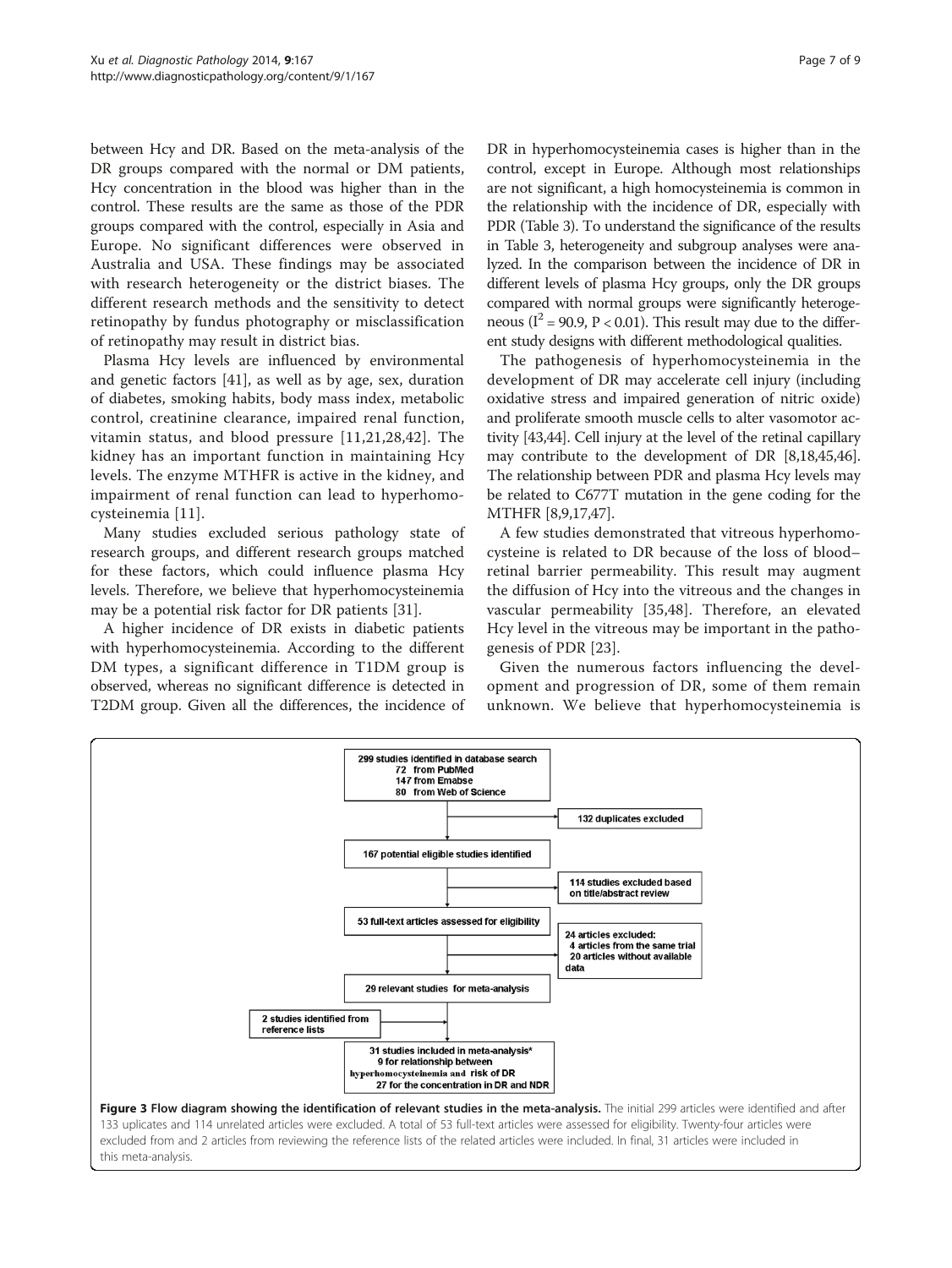<span id="page-6-0"></span>between Hcy and DR. Based on the meta-analysis of the DR groups compared with the normal or DM patients, Hcy concentration in the blood was higher than in the control. These results are the same as those of the PDR groups compared with the control, especially in Asia and Europe. No significant differences were observed in Australia and USA. These findings may be associated with research heterogeneity or the district biases. The different research methods and the sensitivity to detect retinopathy by fundus photography or misclassification of retinopathy may result in district bias.

Plasma Hcy levels are influenced by environmental and genetic factors [\[41\]](#page-8-0), as well as by age, sex, duration of diabetes, smoking habits, body mass index, metabolic control, creatinine clearance, impaired renal function, vitamin status, and blood pressure [\[11](#page-7-0),[21,28](#page-8-0),[42](#page-8-0)]. The kidney has an important function in maintaining Hcy levels. The enzyme MTHFR is active in the kidney, and impairment of renal function can lead to hyperhomocysteinemia [\[11\]](#page-7-0).

Many studies excluded serious pathology state of research groups, and different research groups matched for these factors, which could influence plasma Hcy levels. Therefore, we believe that hyperhomocysteinemia may be a potential risk factor for DR patients [[31\]](#page-8-0).

A higher incidence of DR exists in diabetic patients with hyperhomocysteinemia. According to the different DM types, a significant difference in T1DM group is observed, whereas no significant difference is detected in T2DM group. Given all the differences, the incidence of DR in hyperhomocysteinemia cases is higher than in the control, except in Europe. Although most relationships are not significant, a high homocysteinemia is common in the relationship with the incidence of DR, especially with PDR (Table [3\)](#page-5-0). To understand the significance of the results in Table [3,](#page-5-0) heterogeneity and subgroup analyses were analyzed. In the comparison between the incidence of DR in different levels of plasma Hcy groups, only the DR groups compared with normal groups were significantly heterogeneous ( $I^2$  = 90.9, P < 0.01). This result may due to the different study designs with different methodological qualities.

The pathogenesis of hyperhomocysteinemia in the development of DR may accelerate cell injury (including oxidative stress and impaired generation of nitric oxide) and proliferate smooth muscle cells to alter vasomotor activity [\[43,44\]](#page-8-0). Cell injury at the level of the retinal capillary may contribute to the development of DR [\[8](#page-7-0)[,18,45,46](#page-8-0)]. The relationship between PDR and plasma Hcy levels may be related to C677T mutation in the gene coding for the MTHFR [\[8,9](#page-7-0)[,17,47](#page-8-0)].

A few studies demonstrated that vitreous hyperhomocysteine is related to DR because of the loss of blood– retinal barrier permeability. This result may augment the diffusion of Hcy into the vitreous and the changes in vascular permeability [[35,48\]](#page-8-0). Therefore, an elevated Hcy level in the vitreous may be important in the pathogenesis of PDR [[23\]](#page-8-0).

Given the numerous factors influencing the development and progression of DR, some of them remain unknown. We believe that hyperhomocysteinemia is

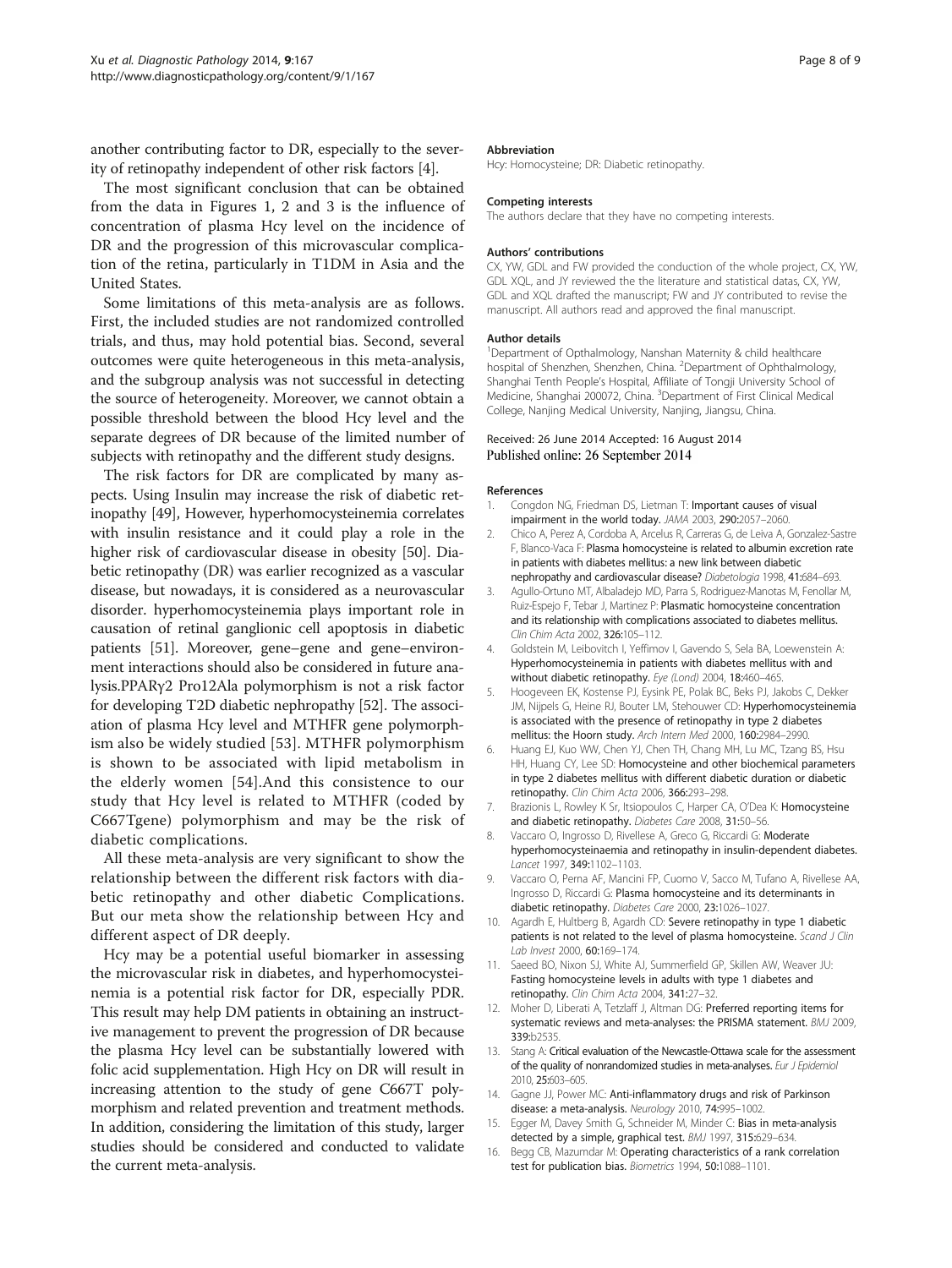<span id="page-7-0"></span>another contributing factor to DR, especially to the severity of retinopathy independent of other risk factors [4].

The most significant conclusion that can be obtained from the data in Figures [1,](#page-4-0) [2](#page-5-0) and [3](#page-6-0) is the influence of concentration of plasma Hcy level on the incidence of DR and the progression of this microvascular complication of the retina, particularly in T1DM in Asia and the United States.

Some limitations of this meta-analysis are as follows. First, the included studies are not randomized controlled trials, and thus, may hold potential bias. Second, several outcomes were quite heterogeneous in this meta-analysis, and the subgroup analysis was not successful in detecting the source of heterogeneity. Moreover, we cannot obtain a possible threshold between the blood Hcy level and the separate degrees of DR because of the limited number of subjects with retinopathy and the different study designs.

The risk factors for DR are complicated by many aspects. Using Insulin may increase the risk of diabetic retinopathy [[49](#page-8-0)], However, hyperhomocysteinemia correlates with insulin resistance and it could play a role in the higher risk of cardiovascular disease in obesity [[50](#page-8-0)]. Diabetic retinopathy (DR) was earlier recognized as a vascular disease, but nowadays, it is considered as a neurovascular disorder. hyperhomocysteinemia plays important role in causation of retinal ganglionic cell apoptosis in diabetic patients [[51](#page-8-0)]. Moreover, gene–gene and gene–environment interactions should also be considered in future analysis.PPARγ2 Pro12Ala polymorphism is not a risk factor for developing T2D diabetic nephropathy [[52](#page-8-0)]. The association of plasma Hcy level and MTHFR gene polymorphism also be widely studied [[53\]](#page-8-0). MTHFR polymorphism is shown to be associated with lipid metabolism in the elderly women [\[54\]](#page-8-0).And this consistence to our study that Hcy level is related to MTHFR (coded by C667Tgene) polymorphism and may be the risk of diabetic complications.

All these meta-analysis are very significant to show the relationship between the different risk factors with diabetic retinopathy and other diabetic Complications. But our meta show the relationship between Hcy and different aspect of DR deeply.

Hcy may be a potential useful biomarker in assessing the microvascular risk in diabetes, and hyperhomocysteinemia is a potential risk factor for DR, especially PDR. This result may help DM patients in obtaining an instructive management to prevent the progression of DR because the plasma Hcy level can be substantially lowered with folic acid supplementation. High Hcy on DR will result in increasing attention to the study of gene C667T polymorphism and related prevention and treatment methods. In addition, considering the limitation of this study, larger studies should be considered and conducted to validate the current meta-analysis.

#### **Abbreviation**

Hcy: Homocysteine; DR: Diabetic retinopathy.

#### Competing interests

The authors declare that they have no competing interests.

#### Authors' contributions

CX, YW, GDL and FW provided the conduction of the whole project, CX, YW, GDL XQL, and JY reviewed the the literature and statistical datas, CX, YW, GDL and XQL drafted the manuscript; FW and JY contributed to revise the manuscript. All authors read and approved the final manuscript.

#### Author details

<sup>1</sup>Department of Opthalmology, Nanshan Maternity & child healthcare hospital of Shenzhen, Shenzhen, China. <sup>2</sup>Department of Ophthalmology, Shanghai Tenth People's Hospital, Affiliate of Tongji University School of Medicine, Shanghai 200072, China. <sup>3</sup>Department of First Clinical Medical College, Nanjing Medical University, Nanjing, Jiangsu, China.

#### Received: 26 June 2014 Accepted: 16 August 2014 Published online: 26 September 2014

#### References

- Congdon NG, Friedman DS, Lietman T: Important causes of visual impairment in the world today. JAMA 2003, 290:2057–2060.
- 2. Chico A, Perez A, Cordoba A, Arcelus R, Carreras G, de Leiva A, Gonzalez-Sastre F, Blanco-Vaca F: Plasma homocysteine is related to albumin excretion rate in patients with diabetes mellitus: a new link between diabetic nephropathy and cardiovascular disease? Diabetologia 1998, 41:684–693.
- 3. Agullo-Ortuno MT, Albaladejo MD, Parra S, Rodriguez-Manotas M, Fenollar M, Ruiz-Espejo F, Tebar J, Martinez P: Plasmatic homocysteine concentration and its relationship with complications associated to diabetes mellitus. Clin Chim Acta 2002, 326:105–112.
- 4. Goldstein M, Leibovitch I, Yeffimov I, Gavendo S, Sela BA, Loewenstein A: Hyperhomocysteinemia in patients with diabetes mellitus with and without diabetic retinopathy. Eye (Lond) 2004, 18:460–465.
- 5. Hoogeveen EK, Kostense PJ, Eysink PE, Polak BC, Beks PJ, Jakobs C, Dekker JM, Nijpels G, Heine RJ, Bouter LM, Stehouwer CD: Hyperhomocysteinemia is associated with the presence of retinopathy in type 2 diabetes mellitus: the Hoorn study. Arch Intern Med 2000, 160:2984–2990.
- 6. Huang EJ, Kuo WW, Chen YJ, Chen TH, Chang MH, Lu MC, Tzang BS, Hsu HH, Huang CY, Lee SD: Homocysteine and other biochemical parameters in type 2 diabetes mellitus with different diabetic duration or diabetic retinopathy. Clin Chim Acta 2006, 366:293–298.
- 7. Brazionis L, Rowley K Sr, Itsiopoulos C, Harper CA, O'Dea K: Homocysteine and diabetic retinopathy. Diabetes Care 2008, 31:50–56.
- 8. Vaccaro O, Ingrosso D, Rivellese A, Greco G, Riccardi G: Moderate hyperhomocysteinaemia and retinopathy in insulin-dependent diabetes. Lancet 1997, 349:1102–1103.
- 9. Vaccaro O, Perna AF, Mancini FP, Cuomo V, Sacco M, Tufano A, Rivellese AA, Ingrosso D, Riccardi G: Plasma homocysteine and its determinants in diabetic retinopathy. Diabetes Care 2000, 23:1026–1027.
- 10. Agardh E, Hultberg B, Agardh CD: Severe retinopathy in type 1 diabetic patients is not related to the level of plasma homocysteine. Scand J Clin Lab Invest 2000, 60:169–174.
- 11. Saeed BO, Nixon SJ, White AJ, Summerfield GP, Skillen AW, Weaver JU: Fasting homocysteine levels in adults with type 1 diabetes and retinopathy. Clin Chim Acta 2004, 341:27–32.
- 12. Moher D, Liberati A, Tetzlaff J, Altman DG: Preferred reporting items for systematic reviews and meta-analyses: the PRISMA statement. BMJ 2009, 339:b2535.
- 13. Stang A: Critical evaluation of the Newcastle-Ottawa scale for the assessment of the quality of nonrandomized studies in meta-analyses. Eur J Epidemiol 2010, 25:603–605.
- 14. Gagne JJ, Power MC: Anti-inflammatory drugs and risk of Parkinson disease: a meta-analysis. Neurology 2010, 74:995-1002.
- 15. Egger M, Davey Smith G, Schneider M, Minder C: Bias in meta-analysis detected by a simple, graphical test. BMJ 1997, 315:629–634.
- 16. Begg CB, Mazumdar M: Operating characteristics of a rank correlation test for publication bias. Biometrics 1994, 50:1088–1101.